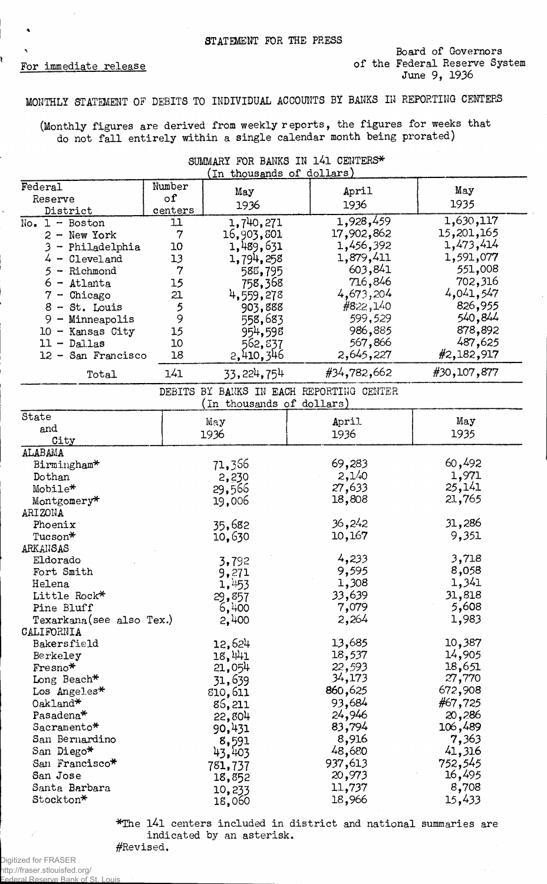į

## MONTHLY STATEMENT OF DEBITS TO INDIVIDUAL ACCOUNTS BY BANKS III REPORTING CENTERS

(Monthly figures are derived from weekly reports, the figures for weeks that do not fall entirely within a single calendar month being prorated)

> SUMMARY FOR BANKS IN 141 CENTERS\*  $($ In thousands of dollars $)$

| Federal                  | Number    | May                       | April                                    | May         |
|--------------------------|-----------|---------------------------|------------------------------------------|-------------|
| Reserve                  | $\circ$ f | 1936                      | 1936                                     | 1935        |
| District                 | centers   |                           |                                          |             |
| $No. 1 - Boston$         | 11        | 1,740,271                 | 1,928,459                                | 1,630,117   |
| $2 - New York$           | 7         | 16,903,801                | 17,902,862                               | 15,201,165  |
| 3 - Philadelphia         | 10        | 1,489,631                 | 1,456,392                                | 1,473,414   |
| $4 -$ Cleveland          | 13        | 1,794,258                 | 1,879,411                                | 1,591,077   |
| 5<br>- Richmond          | 7         | 588,795                   | 603,841                                  | 551,008     |
| $6 -$ Atlanta            | 15        | 758,368                   | 716,846                                  | 702,316     |
| $7 -$ Chicago            | 21        | 4,559,278                 | 4,673,204                                | 4,041,547   |
| $8 - St.$ Louis          | 5         | 903,888                   | #822,140                                 | 826,955     |
| $9 -$ Minneapolis        | 9         | 558,683                   | 599,529                                  | 540,844     |
| $10 -$ Kansas City       | 15        | 954,598                   | 986,885                                  | 878,892     |
| $11 -$ Dallas            | 10        | 562,837                   | 567,866                                  | 487,625     |
| 12 - San Francisco       | 18        |                           | 2,645,227                                | #2,182,917  |
|                          |           | 2,410,346                 |                                          | #30,107,877 |
| Total                    | 141       | 33, 224, 754              | #34,782,662                              |             |
|                          |           | (In thousands of dollars) | DEBITS BY BANKS IN EACH REPORTING CENTER |             |
| State                    |           |                           |                                          |             |
| and                      |           | May                       | April                                    | May         |
| City                     |           | 1936                      | 1936                                     | 1935        |
| ALABAMA                  |           |                           |                                          |             |
| Birmingham*              |           | 71,366                    | 69,283                                   | 60,492      |
| Dothan                   |           | 2,230                     | 2,140                                    | 1,971       |
| Mobile*                  | 29,566    |                           | 27,633                                   | 25,141      |
| Montgomery*              | 19,006    |                           | 18,808                                   | 21,765      |
| ARIZONA                  |           |                           |                                          |             |
| Phoenix                  |           | 35,682                    | 36,242                                   | 31,286      |
| Tucson*                  |           | 10,630                    | 10,167                                   | 9,351       |
| ARKANSAS                 |           |                           |                                          |             |
| Eldorado                 |           | 3,792                     | 4,233                                    | 3,718       |
| Fort Smith               |           | 9,271                     | 9,595                                    | 8,058       |
| Helena                   |           | 1,453                     | 1,308                                    | 1,341       |
| Little Rock*             |           | 29,857                    | 33,639                                   | 31,818      |
| Pine Bluff               |           | 6,400                     | 7,079                                    | 5,608       |
| Texarkana(see also Tex.) |           | 2,400                     | 2,264                                    | 1,983       |
| CALIFORNIA               |           |                           |                                          |             |
| Bakersfield              |           | 12,624                    | 13,685                                   | 10,387      |
| Berkeley                 |           | 18,441                    | 18,537                                   | 14,905      |
| Fresno*                  |           | 21,054                    | 22,593                                   | 18,651      |
| Long Beach*              |           | 31,639                    | 34,173                                   | 27,770      |
| Los Angeles*             |           | 810,611                   | 860,625                                  | 672,908     |
| Oakland*                 |           | 86,211                    | 93,684                                   | #67,725     |
|                          |           |                           | 24,946                                   | 20,286      |
| Pasadena*                |           | 22,804                    | 83,794                                   | 106,489     |
| Sacramento*<br>90,431    |           |                           |                                          | 7,363       |
| San Bernardino           |           | 8,591                     | 8,916                                    |             |
| San Diego*               |           | 43,403                    | 48,680                                   | 41,316      |
| San Francisco*           |           | 781,737                   | 937,613                                  | 752,545     |
| San Jose                 |           | 18,852                    | 20,973                                   | 16,495      |
| Santa Barbara            |           | 10,233                    | 11,737                                   | 8,708       |
| Stockton*                |           | 18,060                    | 18,966                                   | 15,433      |

\*The l4l centers included in district and national summaries are indicated by an asterisk.

#Revised. Digitized for FRASER http://fraser.stlouisfed.org/ al Reserve Bank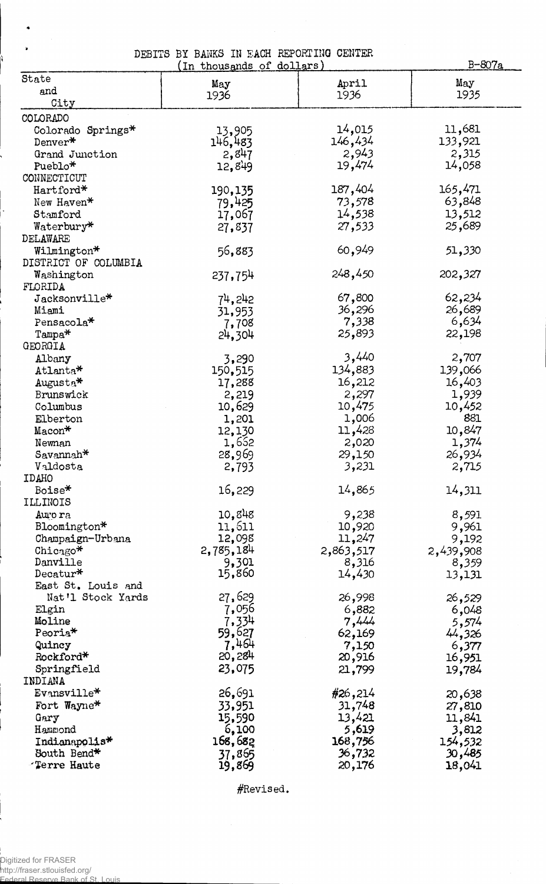|  |  |  | DEBITS BY BANKS IN EACH REPORTING CENTER |  |
|--|--|--|------------------------------------------|--|
|  |  |  | $\sqrt{2}$ is a set of strip $\sqrt{2}$  |  |

|                          | In thousands of dollars) |                    | <u>B-807a</u>  |
|--------------------------|--------------------------|--------------------|----------------|
| State                    | May                      | April              | May            |
| and                      | 1936                     | 1936               | 1935           |
| City                     |                          |                    |                |
| COLORADO                 |                          |                    |                |
| Colorado Springs*        | 13,905                   | 14,015             | 11,681         |
| Denver*                  | 146,483                  | 146,434            | 133,921        |
| Grand Junction           | 2,847                    | 2,943              | 2,315          |
| Pueblo*                  | 12,849                   | 19,474             | 14,058         |
| CONNECTICUT              |                          |                    |                |
| Hartford*                | 190,135                  | 187,404            | 165,471        |
| New Haven*               | 79,425                   | 73,578             | 63,848         |
| Stamford                 | 17,067                   | 14,538             | 13,512         |
| Waterbury*               | 27,837                   | 27,533             | 25,689         |
| DELAWARE                 |                          |                    |                |
| Wilmington*              | 56,883                   | 60,949             | 51,330         |
| DISTRICT OF COLUMBIA     |                          |                    |                |
| Washington               | 237,754                  | 248,450            | 202,327        |
| FLORIDA                  |                          |                    |                |
| $\texttt{Jacksonville*}$ | 74,242                   | 67,800             | 62,234         |
| Miami                    | 31,953                   | 36,296             | 26,689         |
| Pensacola*               | 7,708                    | 7,338              | 6,634          |
| Tampa*                   | 24,304                   | 25,893             | 22,198         |
| GEORGIA                  |                          |                    |                |
| Albany                   | 3,290                    | 3,440              | 2,707          |
| Atlanta*                 | 150,515                  | 134,883            | 139,066        |
| Augusta*                 | 17,288                   | 16,212             | 16,403         |
| Brunswick                | 2,219                    | 2,297              | 1,939          |
| Columbus                 | 10,629                   | 10,475             | 10,452         |
| Elberton                 | 1,201                    | 1,006              | 881            |
| Macon*                   | 12,130                   | 11,428             | 10,847         |
| Newnan                   | 1,652                    | 2,020              | 1,374          |
| Savannah <sup>*</sup>    | 28,969                   | 29,150             | 26,934         |
| Valdosta                 |                          | 3,231              | 2,715          |
| IDAHO                    | 2,793                    |                    |                |
| Boise*                   | 16,229                   | 14,865             | 14,311         |
| ILLINOIS                 |                          |                    |                |
|                          | 10,848                   | 9,238              |                |
| Auro ra<br>Bloomington*  | 11,611                   | 10,920             | 8,591<br>9,961 |
|                          |                          | 11,247             |                |
| Champaign-Urbana         | 12,098                   |                    | 9,192          |
| Chicago*<br>Danville     | 2,785,184<br>9,301       | 2,863,517<br>8,316 | 2,439,908      |
| Decatur*                 | 15,860                   | 14,430             | 8,359          |
| East St. Louis and       |                          |                    | 13,131         |
| Nat'l Stock Yards        | 27,629                   | 26,998             |                |
| Elgin                    | 7,056                    | 6,882              | 26,529         |
| Moline                   | 7,334                    | 7,444              | 6,048          |
| Peoria <sup>*</sup>      | 59,627                   | 62,169             | 5,574          |
| Quincy                   | 7,464                    | 7,150              | 44,326         |
| Rockford*                | 20,284                   |                    | 6,377          |
|                          | 23,075                   | 20,916             | 16,951         |
| Springfield<br>INDIANA   |                          | 21,799             | 19,784         |
| Evansville*              |                          |                    |                |
|                          | 26,691                   | #26,214            | 20,638         |
| Fort Wayne*              | 33,951                   | 31,748             | 27,810         |
| Gary                     | 15,590                   | 13,421             | 11,841         |
| Hammond                  | 6,100                    | 5,619              | 3,812          |
| Indianapolis*            | 168,682                  | 168,756            | 154,532        |
| South Bend*              | 37,865                   | 36,732             | 30,485         |
| <b>Terre Haute</b>       | 19,869                   | 20,176             | 18,041         |

^Revised.

 $\bullet$  $\ddot{\phantom{a}}$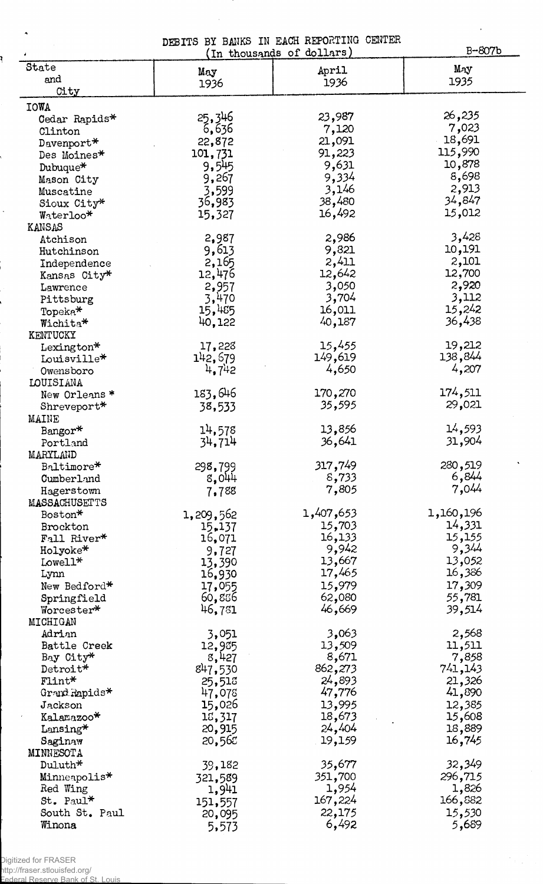DEBITS BY BANKS IN EACH REPORTING CENTER<br>(In thousands of dollars)

B-807b

 $\mathbf{r}$ 

|                   | TIL GILOWORKHO | ◡         |           |
|-------------------|----------------|-----------|-----------|
| State             | May            | April     | May       |
| and               | 1936           | 1936      | 1935      |
| City              |                |           |           |
|                   |                |           |           |
| <b>IOWA</b>       |                |           | 26,235    |
| Cedar Rapids*     | 25,346         | 23,987    |           |
| Clinton           | 6,636          | 7,120     | 7,023     |
| Davenport*        | 22,872         | 21,091    | 18,691    |
| Des Moines*       | 101,731        | 91,223    | 115,990   |
| Dubuque*          | 9,545          | 9,631     | 10,878    |
|                   | 9,267          | 9,334     | 8,698     |
| Mason City        |                |           | 2,913     |
| Muscatine         | 3,599          | 3,146     |           |
| Sioux City*       | 36,983         | 38,480    | 34,847    |
| Waterloo*         | 15,327         | 16,492    | 15,012    |
| KANSAS            |                |           |           |
| Atchison          | 2,987          | 2,986     | 3,428     |
| Hutchinson        | 9,613          | 9,821     | 10,191    |
|                   | 2,165          | 2,411     | 2,101     |
| Independence      |                |           | 12,700    |
| Kansas City*      | 12,476         | 12,642    |           |
| Lawrence          | 2,957          | 3,050     | 2,920     |
| Pittsburg         | 3,470          | 3,704     | 3,112     |
| Topeka*           | 15,485         | 16,011    | 15,242    |
| Wichita*          | 40,122         | 40,187    | 36,438    |
| KENTUCKY          |                |           |           |
|                   | 17,228         | 15,455    | 19,212    |
| Lexington*        |                |           | 138,844   |
| Louisville*       | 142,679        | 149,619   |           |
| Owensboro         | 4,742          | 4,650     | 4,207     |
| LOUISIANA         |                |           |           |
| New Orleans*      | 183,646        | 170,270   | 174,511   |
| Shreveport*       | 38,533         | 35,595    | 29,021    |
| <b>MAINE</b>      |                |           |           |
|                   |                | 13,856    | 14,593    |
| Bangor*           | 14,578         |           |           |
| Portland          | 34,714         | 36,641    | 31,904    |
| MARYLAND          |                |           |           |
| Baltimore*        | 298,799        | 317,749   | 280,519   |
| Cumberland        | 8,044          | 8,733     | 6,844     |
| Hagerstown        | 7,788          | 7,805     | 7,044     |
| MASSACHUSETTS     |                |           |           |
| Boston*           |                | 1,407,653 | 1,160,196 |
|                   | 1,209,562      |           |           |
| Brockton          | 15,137         | 15,703    | 14,331    |
| Fall River*       | 16,071         | 16,133    | 15,155    |
| Holyoke*          | 9,727          | 9,942     | 9,344     |
| $Lowell*$         | 13,390         | 13,667    | 13,052    |
| Lynn              | 16,930         | 17,465    | 16,386    |
| New Bedford*      | 17,055         | 15,979    | 17,309    |
|                   | 60,856         | 62,080    | 55,781    |
| Springfield       |                |           |           |
| Worcester*        | 46,781         | 46,669    | 39,514    |
| MICHIGAN          |                |           |           |
| Adrian            | 3,051          | 3,063     | 2,568     |
| Battle Creek      | 12,935         | 13,509    | 11,511    |
| Bay City*         | 8,427          | 8,671     | 7,858     |
| Detroit*          | 847,530        | 862,273   | 741,143   |
| $F1int*$          | 25,513         | 24,893    | 21,326    |
|                   |                | 47,776    |           |
| Grand Rapids*     | 47,078         |           | 41,890    |
| Jackson           | 15,026         | 13,995    | 12,385    |
| Kalamazoo*        | 15,317         | 18,673    | 15,608    |
| $\text{Lansing*}$ | 20,915         | 24,404    | 18,889    |
| Saginaw           | 20,565         | 19,159    | 16,745    |
| MINNESOTA         |                |           |           |
| $Duluth*$         | 39,182         | 35,677    | 32,349    |
|                   |                |           |           |
| Minneapolis*      | 321,589        | 351,700   | 296,715   |
| Red Wing          | 1,941          | 1,954     | 1,826     |
| St. Paul*         | 151,557        | 167,224   | 166,882   |
| South St. Paul    | 20,095         | 22,175    | 15,530    |
| Winona            | 5,573          | 6,492     | 5,689     |
|                   |                |           |           |

Digitized for FRASER http://fraser.stlouisfed.org/

 $\hat{\mathbf{A}}$ 

ł

 $\ddot{\phantom{0}}$ 

Federal Reserve Bank of St. Louis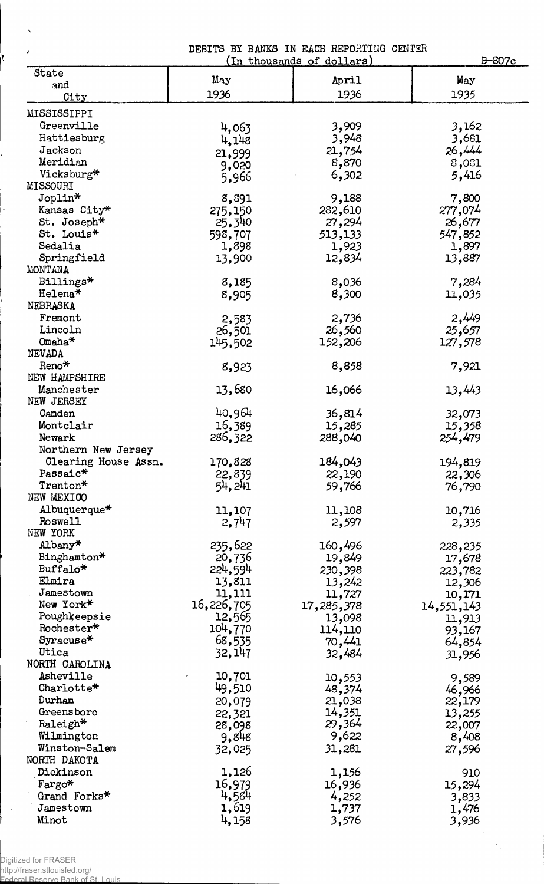|                      | DEBITS BY BANKS IN EACH REPORTING CENTER<br>B-307c<br>(In thousands of dollars) |            |            |  |  |  |  |
|----------------------|---------------------------------------------------------------------------------|------------|------------|--|--|--|--|
| State                |                                                                                 |            |            |  |  |  |  |
| and                  | Мау                                                                             | April      | May        |  |  |  |  |
| City                 | 1936                                                                            | 1936       | 1935       |  |  |  |  |
| MISSISSIPPI          |                                                                                 |            |            |  |  |  |  |
| Greenville           | 4,063                                                                           | 3,909      | 3,162      |  |  |  |  |
| Hattiesburg          | 4,148                                                                           | 3,948      | 3,681      |  |  |  |  |
| Jackson              | 21,999                                                                          | 21,754     | 26,444     |  |  |  |  |
| Meridian             |                                                                                 | 8,870      | 8,031      |  |  |  |  |
| Vicksburg*           | 9,020                                                                           | 6,302      | 5,416      |  |  |  |  |
| MISSOURI             | 5,966                                                                           |            |            |  |  |  |  |
| Joplin*              | 8,891                                                                           | 9,188      | 7,800      |  |  |  |  |
| Kansas City*         | 275,150                                                                         | 282,610    | 277,074    |  |  |  |  |
| St. Joseph*          | 25,340                                                                          | 27,294     | 26,677     |  |  |  |  |
| St. Louis*           |                                                                                 |            | 547,852    |  |  |  |  |
| Sedalia              | 598,707<br>1,898                                                                | 513,133    |            |  |  |  |  |
|                      |                                                                                 | 1,923      | 1,897      |  |  |  |  |
| Springfield          | 13,900                                                                          | 12,834     | 13,887     |  |  |  |  |
| MONTANA              |                                                                                 |            |            |  |  |  |  |
| Billings*            | 8,185                                                                           | 8,036      | 7,284      |  |  |  |  |
| Helena*              | 8,905                                                                           | 8,300      | 11,035     |  |  |  |  |
| NEBRASKA             |                                                                                 |            |            |  |  |  |  |
| Fremont              | 2,583                                                                           | 2,736      | 2,449      |  |  |  |  |
| Lincoln              | 26,501                                                                          | 26,560     | 25,657     |  |  |  |  |
| $O$ maha $*$         | 145,502                                                                         | 152,206    | 127,578    |  |  |  |  |
| NEVADA               |                                                                                 |            |            |  |  |  |  |
| $Reno*$              | 8,923                                                                           | 8,858      | 7,921      |  |  |  |  |
| NEW HAMPSHIRE        |                                                                                 |            |            |  |  |  |  |
| Manchester           | 13,680                                                                          | 16,066     | 13,443     |  |  |  |  |
| NEW JERSEY           |                                                                                 |            |            |  |  |  |  |
| Camden               | 40,964                                                                          | 36,814     | 32,073     |  |  |  |  |
| Montclair            | 16,389                                                                          | 15,285     | 15,358     |  |  |  |  |
| Newark               | 286,322                                                                         | 288,040    | 254,479    |  |  |  |  |
| Northern New Jersey  |                                                                                 |            |            |  |  |  |  |
| Clearing House Assn. | 170,828                                                                         | 184,043    | 194,819    |  |  |  |  |
| Passaic*             | 22,839                                                                          | 22,190     | 22,306     |  |  |  |  |
| Trenton*             | 54, 241                                                                         | 59,766     | 76,790     |  |  |  |  |
| NEW MEXICO           |                                                                                 |            |            |  |  |  |  |
| Albuquerque*         | 11,107                                                                          | 11,108     | 10,716     |  |  |  |  |
| <b>Roswell</b>       | 2,747                                                                           | 2,597      | 2,335      |  |  |  |  |
| NEW YORK             |                                                                                 |            |            |  |  |  |  |
| Albany*              | 235,622                                                                         | 160,496    | 228,235    |  |  |  |  |
| Binghamton*          | 20,736                                                                          | 19,849     | 17,678     |  |  |  |  |
| Buffalo*             | 224,594                                                                         | 230,398    | 223,782    |  |  |  |  |
| Elmira               | 13,811                                                                          | 13,242     | 12,306     |  |  |  |  |
| Jamestown            | 11,111                                                                          | 11,727     |            |  |  |  |  |
| New York*            | 16,226,705                                                                      | 17,285,378 | 10,171     |  |  |  |  |
| Poughkeepsie         | 12,565                                                                          |            | 14,551,143 |  |  |  |  |
| Rochester*           |                                                                                 | 13,098     | 11,913     |  |  |  |  |
| Syracuse*            | 104,770                                                                         | 114,110    | 93,167     |  |  |  |  |
| Utica                | 68,535                                                                          | 70,441     | 64,854     |  |  |  |  |
| NORTH CAROLINA       | 32,147                                                                          | 32,484     | 31,956     |  |  |  |  |
| Asheville            |                                                                                 |            |            |  |  |  |  |
| Charlotte*           | 10,701                                                                          | 10,553     | 9,589      |  |  |  |  |
|                      | 49,510                                                                          | 48,374     | 46,966     |  |  |  |  |
| Durham               | 20,079                                                                          | 21,038     | 22,179     |  |  |  |  |
| Greensboro           | 22,321                                                                          | 14,351     | 13,255     |  |  |  |  |
| Raleigh*             | 28,098                                                                          | 29,364     | 22,007     |  |  |  |  |
| Wilmington           | 9,848                                                                           | 9,622      | 8,408      |  |  |  |  |
| Winston-Salem        | 32,025                                                                          | 31,281     | 27,596     |  |  |  |  |
| NORTH DAKOTA         |                                                                                 |            |            |  |  |  |  |
| Dickinson            | 1,126                                                                           | 1,156      | 910        |  |  |  |  |
| Fargo*               | 16,979                                                                          | 16,936     | 15,294     |  |  |  |  |
| Grand Forks*         | 4,584                                                                           | 4,252      | 3,833      |  |  |  |  |
| Jamestown            | 1,619                                                                           | 1,737      | 1,476      |  |  |  |  |
| Minot                | 4,158                                                                           | 3,576      | 3,936      |  |  |  |  |

Digitized for FRASER

 $\sim$   $\sim$ 

 $\bar{\lambda}$ 

 $\vert$ 

http://fraser.stlouisfed.org/ Federal Reserve Bank of St. Louis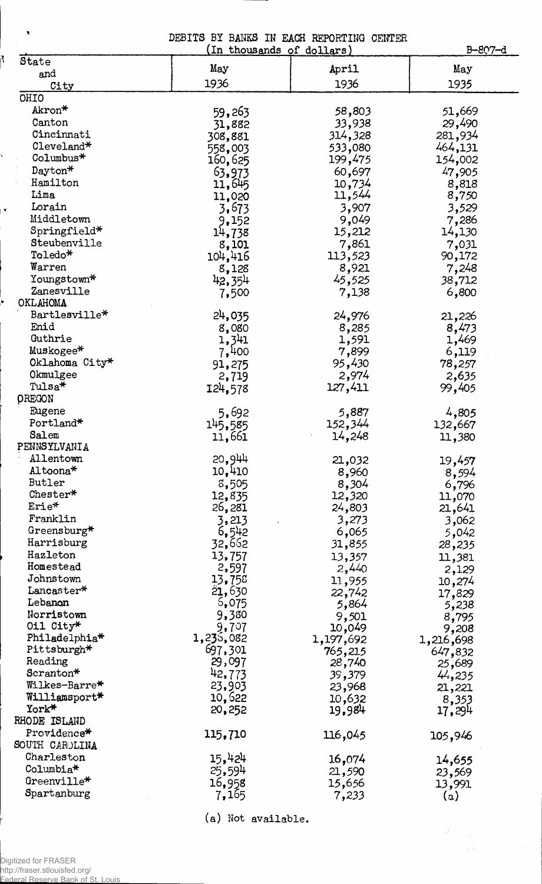|  |  | DEBITS BY BANKS IN EACH REPORTING CENTER |  |
|--|--|------------------------------------------|--|
|  |  | $(\text{In those and e of A31}$          |  |

|                           | (In thousands of dollars) | B-807-d         |           |
|---------------------------|---------------------------|-----------------|-----------|
| State                     | May                       | April           | May       |
| and                       | 1936                      |                 | 1935      |
| City                      |                           | 1936            |           |
| OHIO                      |                           |                 |           |
| Akron*                    | 59,263                    | 58,803          | 51,669    |
| Canton                    | 31,882                    | 33,938          | 29,490    |
| Cincinnati                | 308,881                   | 314,328         | 281,934   |
| Cleveland*                | 558,003                   | 533,080         | 464,131   |
| Columbus*                 | 160,625                   | 199,475         | 154,002   |
| Dayton*                   | 63,973                    | 60,697          | 47,905    |
| Hamilton                  | 11,645                    | 10,734          | 8,818     |
| Lima                      | 11,020                    | 11,544          | 8,750     |
| Lorain                    | 3,673                     | 3,907           | 3,529     |
| Middletown                | 9,152                     | 9,049           | 7,286     |
| Springfield*              | 14,738                    | 15,212          | 14,130    |
| Steubenville              | 8,101                     | 7,861           | 7,031     |
| Toledo*                   | 104,416                   | 113,523         | 90,172    |
| Warren                    | 8,128                     | 8,921           | 7,248     |
| Youngstown*               | 42,354                    | 45,525          | 38,712    |
| Zanesville                | 7,500                     | 7,138           | 6,800     |
| OKLAHOMA                  |                           |                 |           |
| Bartlesville*             | 24,035                    | 24,976          | 21,226    |
| Enid                      | 8,080                     | 8,285           | 8,473     |
| Guthrie                   | 1,341                     | 1,591           | 1,469     |
| Muskogee*                 | 7,400                     | 7,899           | 6,119     |
| Oklahoma City*            | 91,275                    | 95 <b>,</b> 430 | 78,257    |
| Okmulgee                  | 2,719                     | 2,974           | 2,635     |
| Tulsa*                    | 124,578                   | 127,411         | 99,405    |
| <b>OREGON</b>             |                           |                 |           |
| Eugene                    | 5,692                     | 5,887           | 4,805     |
| Portland*                 | 145,585                   | 152,344         | 132,667   |
| Salem                     | 11,661                    | 14,248          | 11,380    |
| PENNSYLVANIA              |                           |                 |           |
| Allentown                 | 20,944                    | 21,032          | 19,457    |
| Altoona*                  | 10,410                    | 8,960           | 8,594     |
| Butler                    | 8,505                     | 8,304           | 6,796     |
| Chester*                  | 12,835                    | 12,320          | 11,070    |
| Erie*                     | 26,281                    | 24,803          | 21,641    |
| Franklin                  | 3,213                     | 3,273           | 3,062     |
| Greensburg*               | 6,542                     | 6,065           | 5,042     |
| Harrisburg                | 32,662                    | 31,855          | 28,235    |
| Hazleton                  | 13,757                    | 13,357          | 11,381    |
| Homestead                 | 2,597                     | 2,440           | 2,129     |
| Johnstown                 | 13,758                    | 11,955          | 10,274    |
| Lancaster*                | 21,630                    | 22,742          | 17,829    |
| Lebanon                   | 5,075                     | 5,864           | 5,238     |
| Norristown                | 9,380                     | 9,501           | 8,795     |
| Oil City*                 | 9,707                     | 10,049          | 9,208     |
| Philadelphia <sup>*</sup> | 1,235,082                 | 1,197,692       | 1,216,698 |
| Pittsburgh*               | 697,301                   | 765,215         | 647,832   |
| Reading                   | 29,097                    | 28,740          | 25,689    |
| Scranton*                 | 42,773                    | 39,379          | 44,235    |
| Wilkes-Barre*             | 23,903                    | 23,968          | 21,221    |
| Williamsport*             | 10,622                    | 10,632          | 8,353     |
| York*                     | 20,252                    | 19,984          | 17,294    |
| RHODE ISLAND              |                           |                 |           |
| Providence*               | 115,710                   | 116,045         | 105,946   |
| SOUTH CAROLINA            |                           |                 |           |
| Charleston                | 15,424                    | 16,074          | 14,655    |
| $C_0$ lumbia $*$          | 25,594                    | 21,590          | 23,569    |
| Greenville*               | 16,958                    | 15,656          | 13,991    |
| Spartanburg               | 7,165                     | 7,233           | (a)       |
|                           |                           |                 |           |

(a) Not available.

 $\mathcal{A}$ 

י<br>י

Ŷ,

 $\vert \cdot \vert$